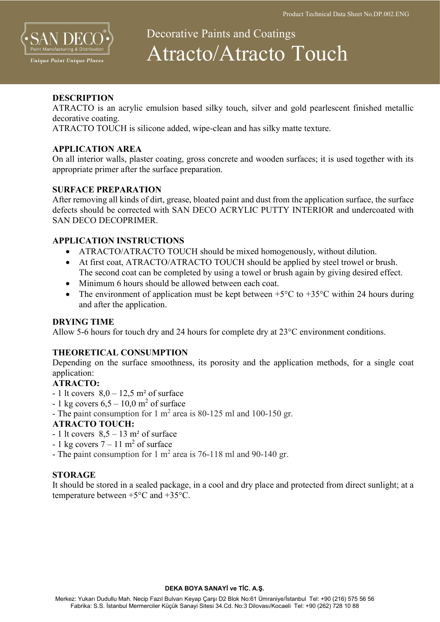

# Decorative Paints and Coatings Atracto/Atracto Touch

# **DESCRIPTION**

ATRACTO is an acrylic emulsion based silky touch, silver and gold pearlescent finished metallic decorative coating.

ATRACTO TOUCH is silicone added, wipe-clean and has silky matte texture.

## APPLICATION AREA

On all interior walls, plaster coating, gross concrete and wooden surfaces; it is used together with its appropriate primer after the surface preparation.

# SURFACE PREPARATION

After removing all kinds of dirt, grease, bloated paint and dust from the application surface, the surface defects should be corrected with SAN DECO ACRYLIC PUTTY INTERIOR and undercoated with SAN DECO DECOPRIMER.

# APPLICATION INSTRUCTIONS

- ATRACTO/ATRACTO TOUCH should be mixed homogenously, without dilution.
- At first coat, ATRACTO/ATRACTO TOUCH should be applied by steel trowel or brush. The second coat can be completed by using a towel or brush again by giving desired effect.
- Minimum 6 hours should be allowed between each coat.
- The environment of application must be kept between  $+5^{\circ}$ C to  $+35^{\circ}$ C within 24 hours during and after the application.

## DRYING TIME

Allow 5-6 hours for touch dry and 24 hours for complete dry at 23°C environment conditions.

## THEORETICAL CONSUMPTION

Depending on the surface smoothness, its porosity and the application methods, for a single coat application:

# ATRACTO:

- $-1$  lt covers  $8.0 12.5$  m<sup>2</sup> of surface
- 1 kg covers  $6,5 10,0$  m<sup>2</sup> of surface
- The paint consumption for  $1 \text{ m}^2$  area is 80-125 ml and 100-150 gr.

# ATRACTO TOUCH:

- $-1$  lt covers  $8.5 13$  m<sup>2</sup> of surface
- 1 kg covers  $7 11$  m<sup>2</sup> of surface
- The paint consumption for 1  $m^2$  area is 76-118 ml and 90-140 gr.

## **STORAGE**

It should be stored in a sealed package, in a cool and dry place and protected from direct sunlight; at a temperature between +5°C and +35°C.